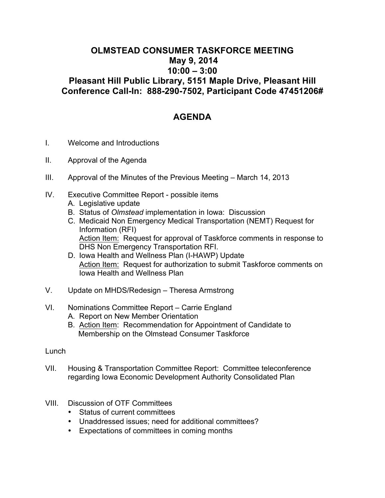## **OLMSTEAD CONSUMER TASKFORCE MEETING May 9, 2014 10:00 – 3:00 Pleasant Hill Public Library, 5151 Maple Drive, Pleasant Hill Conference Call-In: 888-290-7502, Participant Code 47451206#**

## **AGENDA**

- I. Welcome and Introductions
- II. Approval of the Agenda
- III. Approval of the Minutes of the Previous Meeting March 14, 2013
- IV. Executive Committee Report possible items A. Legislative update
	-
	- B. Status of *Olmstead* implementation in Iowa: Discussion
	- C. Medicaid Non Emergency Medical Transportation (NEMT) Request for Information (RFI) Action Item: Request for approval of Taskforce comments in response to DHS Non Emergency Transportation RFI.
	- D. Iowa Health and Wellness Plan (I-HAWP) Update Action Item: Request for authorization to submit Taskforce comments on Iowa Health and Wellness Plan
- V. Update on MHDS/Redesign Theresa Armstrong

## VI. Nominations Committee Report – Carrie England

- A. Report on New Member Orientation
- B. Action Item: Recommendation for Appointment of Candidate to Membership on the Olmstead Consumer Taskforce

## Lunch

- VII. Housing & Transportation Committee Report: Committee teleconference regarding Iowa Economic Development Authority Consolidated Plan
- VIII. Discussion of OTF Committees
	- Status of current committees
	- Unaddressed issues; need for additional committees?
	- Expectations of committees in coming months